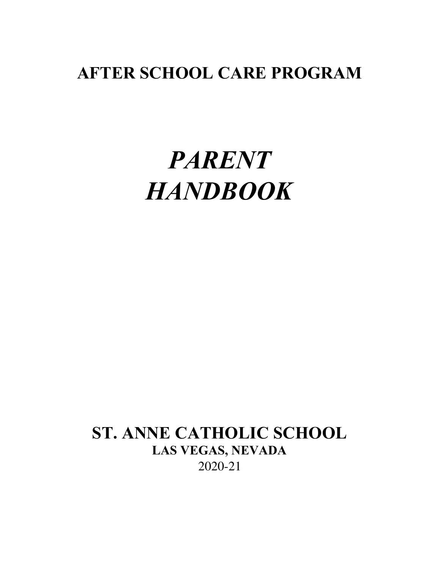# **AFTER SCHOOL CARE PROGRAM**

# *PARENT HANDBOOK*

# **ST. ANNE CATHOLIC SCHOOL LAS VEGAS, NEVADA** 2020-21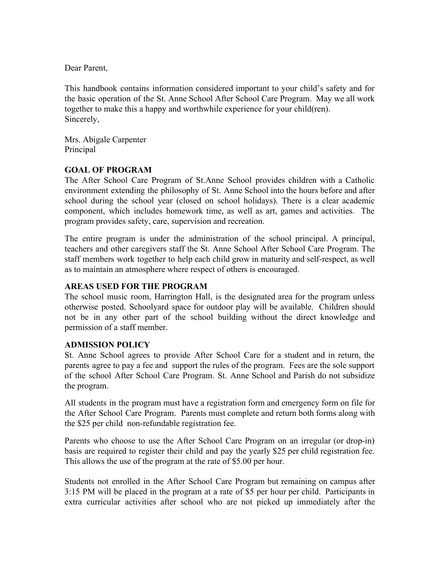Dear Parent,

This handbook contains information considered important to your child's safety and for the basic operation of the St. Anne School After School Care Program. May we all work together to make this a happy and worthwhile experience for your child(ren). Sincerely,

Mrs. Abigale Carpenter Principal

# **GOAL OF PROGRAM**

The After School Care Program of St.Anne School provides children with a Catholic environment extending the philosophy of St. Anne School into the hours before and after school during the school year (closed on school holidays). There is a clear academic component, which includes homework time, as well as art, games and activities. The program provides safety, care, supervision and recreation.

The entire program is under the administration of the school principal. A principal, teachers and other caregivers staff the St. Anne School After School Care Program. The staff members work together to help each child grow in maturity and self-respect, as well as to maintain an atmosphere where respect of others is encouraged.

# **AREAS USED FOR THE PROGRAM**

The school music room, Harrington Hall, is the designated area for the program unless otherwise posted. Schoolyard space for outdoor play will be available. Children should not be in any other part of the school building without the direct knowledge and permission of a staff member.

# **ADMISSION POLICY**

St. Anne School agrees to provide After School Care for a student and in return, the parents agree to pay a fee and support the rules of the program. Fees are the sole support of the school After School Care Program. St. Anne School and Parish do not subsidize the program.

All students in the program must have a registration form and emergency form on file for the After School Care Program. Parents must complete and return both forms along with the \$25 per child non-refundable registration fee.

Parents who choose to use the After School Care Program on an irregular (or drop-in) basis are required to register their child and pay the yearly \$25 per child registration fee. This allows the use of the program at the rate of \$5.00 per hour.

Students not enrolled in the After School Care Program but remaining on campus after 3:15 PM will be placed in the program at a rate of \$5 per hour per child. Participants in extra curricular activities after school who are not picked up immediately after the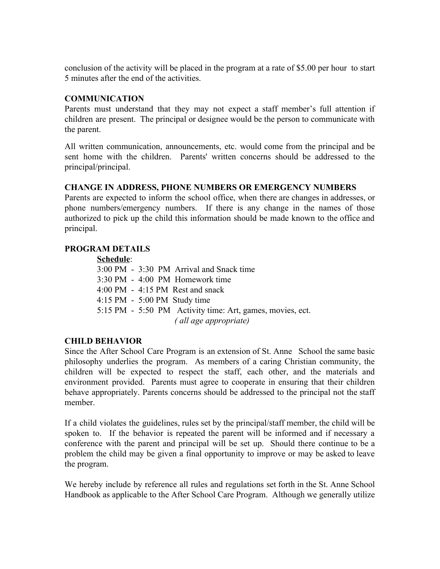conclusion of the activity will be placed in the program at a rate of \$5.00 per hour to start 5 minutes after the end of the activities.

## **COMMUNICATION**

Parents must understand that they may not expect a staff member's full attention if children are present. The principal or designee would be the person to communicate with the parent.

All written communication, announcements, etc. would come from the principal and be sent home with the children. Parents' written concerns should be addressed to the principal/principal.

## **CHANGE IN ADDRESS, PHONE NUMBERS OR EMERGENCY NUMBERS**

Parents are expected to inform the school office, when there are changes in addresses, or phone numbers/emergency numbers. If there is any change in the names of those authorized to pick up the child this information should be made known to the office and principal.

## **PROGRAM DETAILS**

#### **Schedule**:

3:00 PM - 3:30 PM Arrival and Snack time 3:30 PM - 4:00 PM Homework time 4:00 PM - 4:15 PM Rest and snack 4:15 PM - 5:00 PM Study time 5:15 PM - 5:50 PM Activity time: Art, games, movies, ect.  *( all age appropriate)*

#### **CHILD BEHAVIOR**

Since the After School Care Program is an extension of St. Anne School the same basic philosophy underlies the program. As members of a caring Christian community, the children will be expected to respect the staff, each other, and the materials and environment provided. Parents must agree to cooperate in ensuring that their children behave appropriately. Parents concerns should be addressed to the principal not the staff member.

If a child violates the guidelines, rules set by the principal/staff member, the child will be spoken to. If the behavior is repeated the parent will be informed and if necessary a conference with the parent and principal will be set up. Should there continue to be a problem the child may be given a final opportunity to improve or may be asked to leave the program.

We hereby include by reference all rules and regulations set forth in the St. Anne School Handbook as applicable to the After School Care Program. Although we generally utilize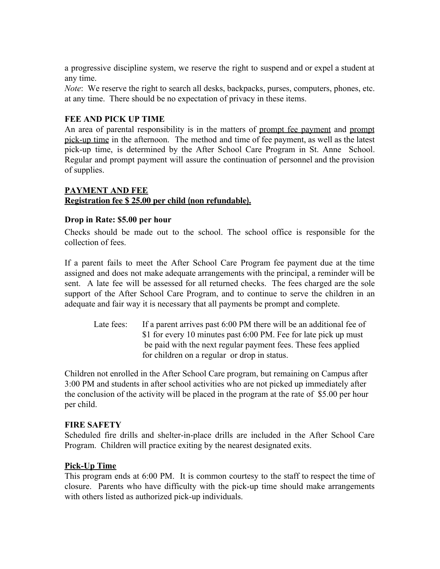a progressive discipline system, we reserve the right to suspend and or expel a student at any time.

*Note*: We reserve the right to search all desks, backpacks, purses, computers, phones, etc. at any time. There should be no expectation of privacy in these items.

# **FEE AND PICK UP TIME**

An area of parental responsibility is in the matters of prompt fee payment and prompt pick-up time in the afternoon. The method and time of fee payment, as well as the latest pick-up time, is determined by the After School Care Program in St. Anne School. Regular and prompt payment will assure the continuation of personnel and the provision of supplies.

# **PAYMENT AND FEE Registration fee \$ 25.00 per child (non refundable).**

# **Drop in Rate: \$5.00 per hour**

Checks should be made out to the school. The school office is responsible for the collection of fees.

If a parent fails to meet the After School Care Program fee payment due at the time assigned and does not make adequate arrangements with the principal, a reminder will be sent. A late fee will be assessed for all returned checks. The fees charged are the sole support of the After School Care Program, and to continue to serve the children in an adequate and fair way it is necessary that all payments be prompt and complete.

Late fees: If a parent arrives past 6:00 PM there will be an additional fee of \$1 for every 10 minutes past 6:00 PM. Fee for late pick up must be paid with the next regular payment fees. These fees applied for children on a regular or drop in status.

Children not enrolled in the After School Care program, but remaining on Campus after 3:00 PM and students in after school activities who are not picked up immediately after the conclusion of the activity will be placed in the program at the rate of \$5.00 per hour per child.

#### **FIRE SAFETY**

Scheduled fire drills and shelter-in-place drills are included in the After School Care Program. Children will practice exiting by the nearest designated exits.

# **Pick-Up Time**

This program ends at 6:00 PM. It is common courtesy to the staff to respect the time of closure. Parents who have difficulty with the pick-up time should make arrangements with others listed as authorized pick-up individuals.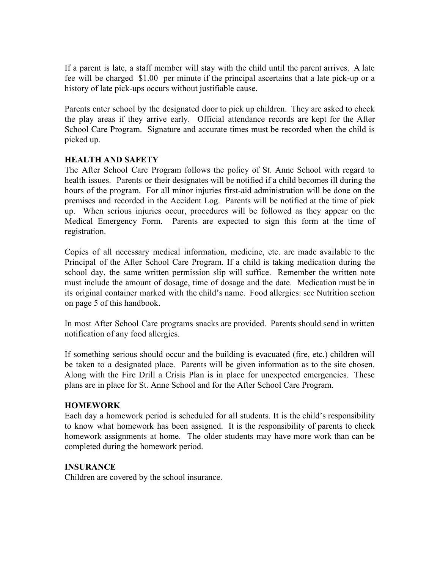If a parent is late, a staff member will stay with the child until the parent arrives. A late fee will be charged \$1.00 per minute if the principal ascertains that a late pick-up or a history of late pick-ups occurs without justifiable cause.

Parents enter school by the designated door to pick up children. They are asked to check the play areas if they arrive early. Official attendance records are kept for the After School Care Program. Signature and accurate times must be recorded when the child is picked up.

# **HEALTH AND SAFETY**

The After School Care Program follows the policy of St. Anne School with regard to health issues. Parents or their designates will be notified if a child becomes ill during the hours of the program. For all minor injuries first-aid administration will be done on the premises and recorded in the Accident Log. Parents will be notified at the time of pick up. When serious injuries occur, procedures will be followed as they appear on the Medical Emergency Form. Parents are expected to sign this form at the time of registration.

Copies of all necessary medical information, medicine, etc. are made available to the Principal of the After School Care Program. If a child is taking medication during the school day, the same written permission slip will suffice. Remember the written note must include the amount of dosage, time of dosage and the date. Medication must be in its original container marked with the child's name. Food allergies: see Nutrition section on page 5 of this handbook.

In most After School Care programs snacks are provided. Parents should send in written notification of any food allergies.

If something serious should occur and the building is evacuated (fire, etc.) children will be taken to a designated place. Parents will be given information as to the site chosen. Along with the Fire Drill a Crisis Plan is in place for unexpected emergencies. These plans are in place for St. Anne School and for the After School Care Program.

#### **HOMEWORK**

Each day a homework period is scheduled for all students. It is the child's responsibility to know what homework has been assigned. It is the responsibility of parents to check homework assignments at home. The older students may have more work than can be completed during the homework period.

#### **INSURANCE**

Children are covered by the school insurance.